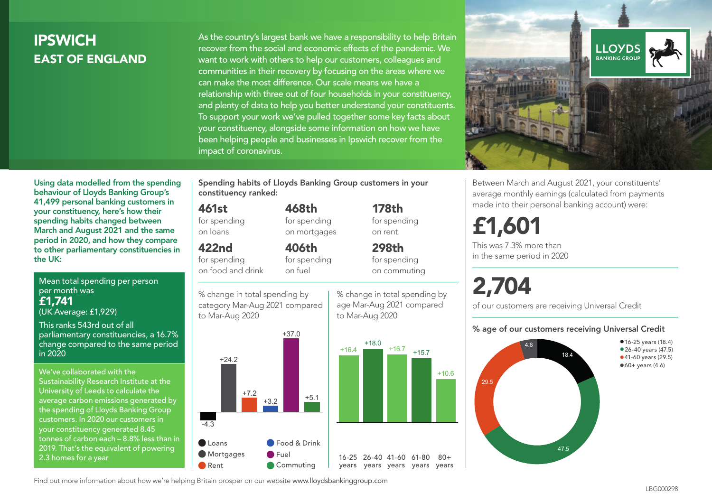# **IPSWICH** EAST OF ENGLAND

Mean total spending per person

Using data modelled from the spending behaviour of Lloyds Banking Group's 41,499 personal banking customers in your constituency, here's how their spending habits changed between March and August 2021 and the same period in 2020, and how they compare to other parliamentary constituencies in

parliamentary constituencies, a 16.7% change compared to the same period

per month was £1,741

in 2020

the UK:

(UK Average: £1,929) This ranks 543rd out of all

2.3 homes for a year

As the country's largest bank we have a responsibility to help Britain recover from the social and economic effects of the pandemic. We want to work with others to help our customers, colleagues and communities in their recovery by focusing on the areas where we can make the most difference. Our scale means we have a relationship with three out of four households in your constituency, and plenty of data to help you better understand your constituents. To support your work we've pulled together some key facts about your constituency, alongside some information on how we have been helping people and businesses in Ipswich recover from the impact of coronavirus.



Between March and August 2021, your constituents' average monthly earnings (calculated from payments made into their personal banking account) were:

# £1,601

This was 7.3% more than in the same period in 2020

# 2,704

+10.6

 $80 +$ 

of our customers are receiving Universal Credit

#### % age of our customers receiving Universal Credit



Spending habits of Lloyds Banking Group customers in your constituency ranked:

> 468th for spending on mortgages

406th

#### 461st

for spending on loans

#### 422nd

for spending on food and drink

for spending on fuel

% change in total spending by category Mar-Aug 2021 compared to Mar-Aug 2020



age Mar-Aug 2021 compared to Mar-Aug 2020



178th for spending on rent



Find out more information about how we're helping Britain prosper on our website www.lloydsbankinggroup.com